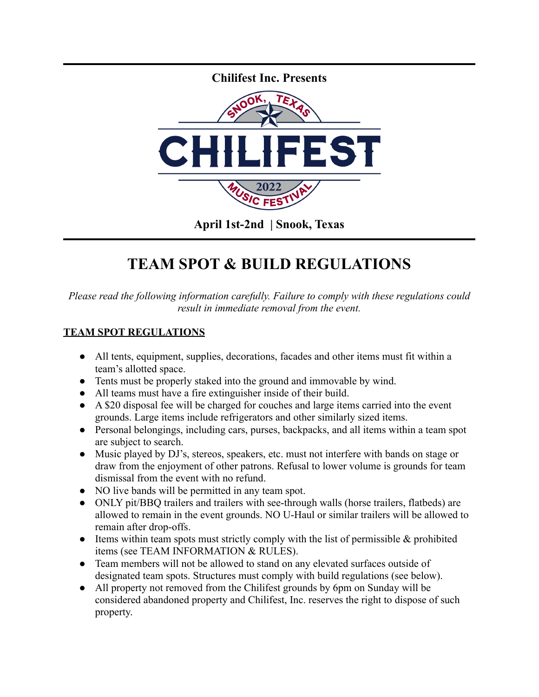

## **TEAM SPOT & BUILD REGULATIONS**

*Please read the following information carefully. Failure to comply with these regulations could result in immediate removal from the event.*

## **TEAM SPOT REGULATIONS**

- All tents, equipment, supplies, decorations, facades and other items must fit within a team's allotted space.
- Tents must be properly staked into the ground and immovable by wind.
- All teams must have a fire extinguisher inside of their build.
- A \$20 disposal fee will be charged for couches and large items carried into the event grounds. Large items include refrigerators and other similarly sized items.
- Personal belongings, including cars, purses, backpacks, and all items within a team spot are subject to search.
- Music played by DJ's, stereos, speakers, etc. must not interfere with bands on stage or draw from the enjoyment of other patrons. Refusal to lower volume is grounds for team dismissal from the event with no refund.
- NO live bands will be permitted in any team spot.
- ONLY pit/BBQ trailers and trailers with see-through walls (horse trailers, flatbeds) are allowed to remain in the event grounds. NO U-Haul or similar trailers will be allowed to remain after drop-offs.
- $\bullet$  Items within team spots must strictly comply with the list of permissible  $\&$  prohibited items (see TEAM INFORMATION & RULES).
- Team members will not be allowed to stand on any elevated surfaces outside of designated team spots. Structures must comply with build regulations (see below).
- All property not removed from the Chilifest grounds by 6pm on Sunday will be considered abandoned property and Chilifest, Inc. reserves the right to dispose of such property.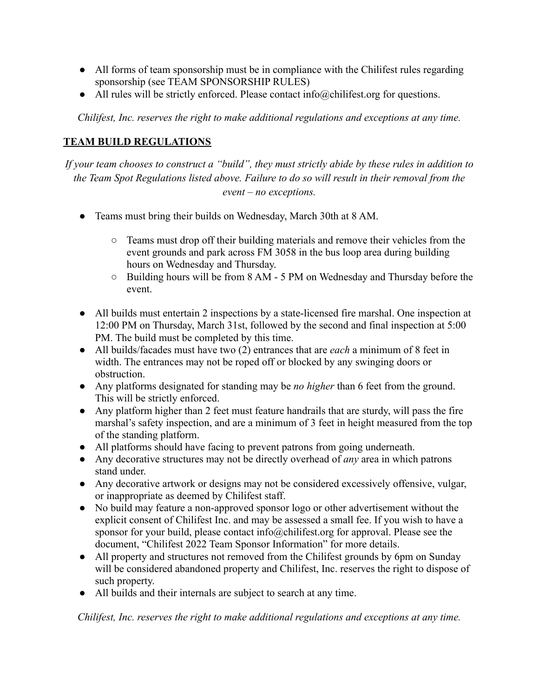- All forms of team sponsorship must be in compliance with the Chilifest rules regarding sponsorship (see TEAM SPONSORSHIP RULES)
- All rules will be strictly enforced. Please contact info@chilifest.org for questions.

*Chilifest, Inc. reserves the right to make additional regulations and exceptions at any time.*

## **TEAM BUILD REGULATIONS**

*If your team chooses to construct a "build", they must strictly abide by these rules in addition to the Team Spot Regulations listed above. Failure to do so will result in their removal from the event – no exceptions.*

- *●* Teams must bring their builds on Wednesday, March 30th at 8 AM.
	- *○* Teams must drop off their building materials and remove their vehicles from the event grounds and park across FM 3058 in the bus loop area during building hours on Wednesday and Thursday.
	- *○* Building hours will be from 8 AM 5 PM on Wednesday and Thursday before the event.
- *●* All builds must entertain 2 inspections by a state-licensed fire marshal. One inspection at 12:00 PM on Thursday, March 31st, followed by the second and final inspection at 5:00 PM. The build must be completed by this time.
- *●* All builds/facades must have two (2) entrances that are *each* a minimum of 8 feet in width. The entrances may not be roped off or blocked by any swinging doors or obstruction.
- *●* Any platforms designated for standing may be *no higher* than 6 feet from the ground. This will be strictly enforced.
- *●* Any platform higher than 2 feet must feature handrails that are sturdy, will pass the fire marshal's safety inspection, and are a minimum of 3 feet in height measured from the top of the standing platform.
- *●* All platforms should have facing to prevent patrons from going underneath.
- *●* Any decorative structures may not be directly overhead of *any* area in which patrons stand under.
- Any decorative artwork or designs may not be considered excessively offensive, vulgar, or inappropriate as deemed by Chilifest staff.
- No build may feature a non-approved sponsor logo or other advertisement without the explicit consent of Chilifest Inc. and may be assessed a small fee. If you wish to have a sponsor for your build, please contact info@chilifest.org for approval. Please see the document, "Chilifest 2022 Team Sponsor Information" for more details.
- All property and structures not removed from the Chilifest grounds by 6pm on Sunday will be considered abandoned property and Chilifest, Inc. reserves the right to dispose of such property.
- All builds and their internals are subject to search at any time.

*Chilifest, Inc. reserves the right to make additional regulations and exceptions at any time.*